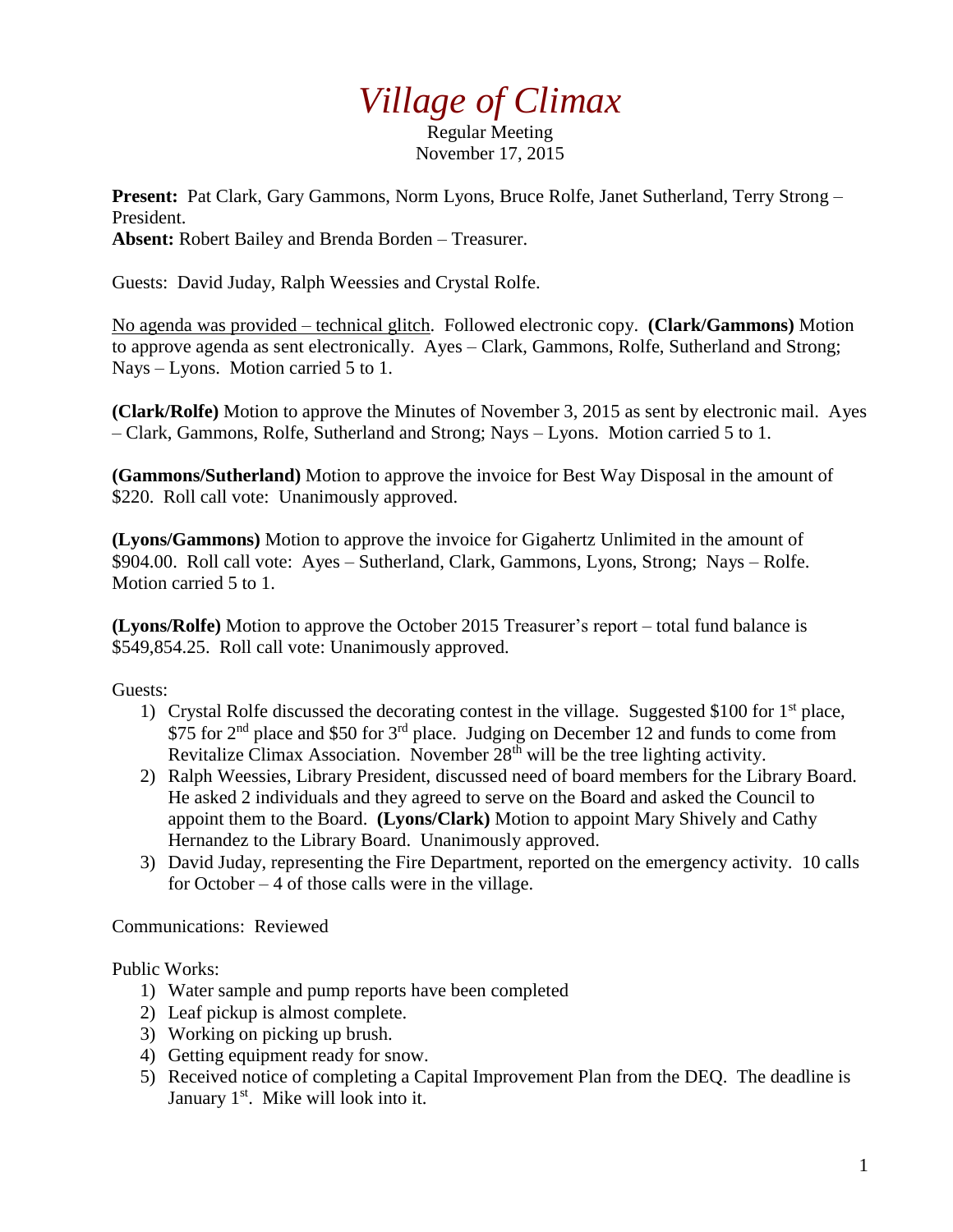## *Village of Climax*

Regular Meeting November 17, 2015

**Present:** Pat Clark, Gary Gammons, Norm Lyons, Bruce Rolfe, Janet Sutherland, Terry Strong – President.

**Absent:** Robert Bailey and Brenda Borden – Treasurer.

Guests: David Juday, Ralph Weessies and Crystal Rolfe.

No agenda was provided – technical glitch. Followed electronic copy. **(Clark/Gammons)** Motion to approve agenda as sent electronically. Ayes – Clark, Gammons, Rolfe, Sutherland and Strong; Nays – Lyons. Motion carried 5 to 1.

**(Clark/Rolfe)** Motion to approve the Minutes of November 3, 2015 as sent by electronic mail. Ayes – Clark, Gammons, Rolfe, Sutherland and Strong; Nays – Lyons. Motion carried 5 to 1.

**(Gammons/Sutherland)** Motion to approve the invoice for Best Way Disposal in the amount of \$220. Roll call vote: Unanimously approved.

**(Lyons/Gammons)** Motion to approve the invoice for Gigahertz Unlimited in the amount of \$904.00. Roll call vote: Ayes – Sutherland, Clark, Gammons, Lyons, Strong; Nays – Rolfe. Motion carried 5 to 1.

**(Lyons/Rolfe)** Motion to approve the October 2015 Treasurer's report – total fund balance is \$549,854.25. Roll call vote: Unanimously approved.

Guests:

- 1) Crystal Rolfe discussed the decorating contest in the village. Suggested \$100 for  $1<sup>st</sup>$  place, \$75 for  $2<sup>nd</sup>$  place and \$50 for  $3<sup>rd</sup>$  place. Judging on December 12 and funds to come from Revitalize Climax Association. November  $28<sup>th</sup>$  will be the tree lighting activity.
- 2) Ralph Weessies, Library President, discussed need of board members for the Library Board. He asked 2 individuals and they agreed to serve on the Board and asked the Council to appoint them to the Board. **(Lyons/Clark)** Motion to appoint Mary Shively and Cathy Hernandez to the Library Board. Unanimously approved.
- 3) David Juday, representing the Fire Department, reported on the emergency activity. 10 calls for October  $-4$  of those calls were in the village.

Communications: Reviewed

Public Works:

- 1) Water sample and pump reports have been completed
- 2) Leaf pickup is almost complete.
- 3) Working on picking up brush.
- 4) Getting equipment ready for snow.
- 5) Received notice of completing a Capital Improvement Plan from the DEQ. The deadline is January 1<sup>st</sup>. Mike will look into it.